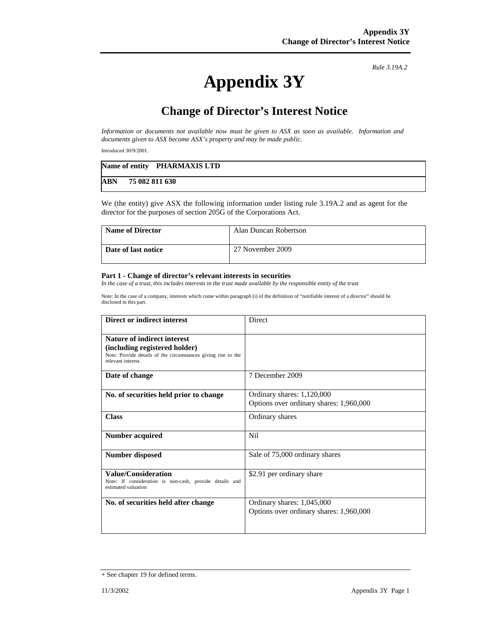*Rule 3.19A.2*

## **Appendix 3Y**

## **Change of Director's Interest Notice**

*Information or documents not available now must be given to ASX as soon as available. Information and documents given to ASX become ASX's property and may be made public.* 

Introduced 30/9/2001.

|     | Name of entity PHARMAXIS LTD |
|-----|------------------------------|
| ABN | 75 082 811 630               |

We (the entity) give ASX the following information under listing rule 3.19A.2 and as agent for the director for the purposes of section 205G of the Corporations Act.

| <b>Name of Director</b> | Alan Duncan Robertson |
|-------------------------|-----------------------|
| Date of last notice     | 27 November 2009      |

## **Part 1 - Change of director's relevant interests in securities**

*In the case of a trust, this includes interests in the trust made available by the responsible entity of the trust* 

Note: In the case of a company, interests which come within paragraph (i) of the definition of "notifiable interest of a director" should be disclosed in this part.

| Direct or indirect interest                                                                                                                         | Direct                                                                |
|-----------------------------------------------------------------------------------------------------------------------------------------------------|-----------------------------------------------------------------------|
| Nature of indirect interest<br>(including registered holder)<br>Note: Provide details of the circumstances giving rise to the<br>relevant interest. |                                                                       |
| Date of change                                                                                                                                      | 7 December 2009                                                       |
| No. of securities held prior to change                                                                                                              | Ordinary shares: 1,120,000<br>Options over ordinary shares: 1,960,000 |
| <b>Class</b>                                                                                                                                        | Ordinary shares                                                       |
| <b>Number acquired</b>                                                                                                                              | <b>Nil</b>                                                            |
| <b>Number disposed</b>                                                                                                                              | Sale of 75,000 ordinary shares                                        |
| <b>Value/Consideration</b><br>Note: If consideration is non-cash, provide details and<br>estimated valuation                                        | \$2.91 per ordinary share                                             |
| No. of securities held after change                                                                                                                 | Ordinary shares: 1,045,000<br>Options over ordinary shares: 1,960,000 |

<sup>+</sup> See chapter 19 for defined terms.